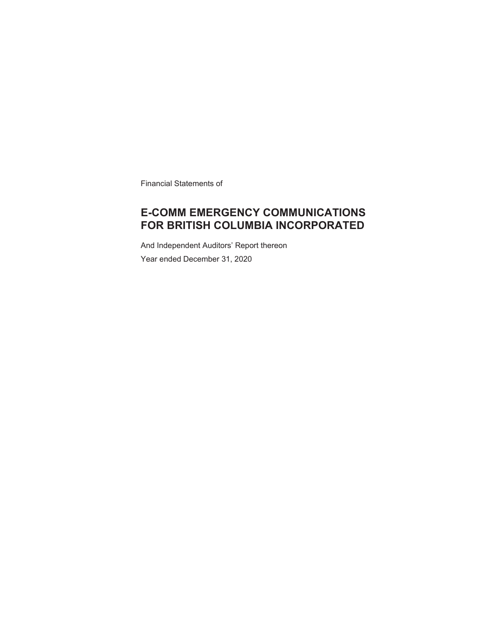Financial Statements of

### **E-COMM EMERGENCY COMMUNICATIONS FOR BRITISH COLUMBIA INCORPORATED**

And Independent Auditors' Report thereon

Year ended December 31, 2020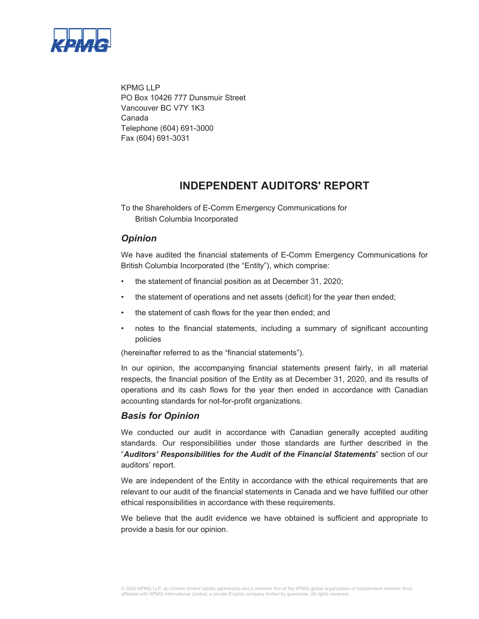

KPMG LLP PO Box 10426 777 Dunsmuir Street Vancouver BC V7Y 1K3 Canada Telephone (604) 691-3000 Fax (604) 691-3031

### **INDEPENDENT AUDITORS' REPORT**

To the Shareholders of E-Comm Emergency Communications for British Columbia Incorporated

### *Opinion*

We have audited the financial statements of E-Comm Emergency Communications for British Columbia Incorporated (the "Entity"), which comprise:

- the statement of financial position as at December 31, 2020;
- the statement of operations and net assets (deficit) for the year then ended;
- the statement of cash flows for the year then ended; and
- notes to the financial statements, including a summary of significant accounting policies

(hereinafter referred to as the "financial statements").

In our opinion, the accompanying financial statements present fairly, in all material respects, the financial position of the Entity as at December 31, 2020, and its results of operations and its cash flows for the year then ended in accordance with Canadian accounting standards for not-for-profit organizations.

#### *Basis for Opinion*

We conducted our audit in accordance with Canadian generally accepted auditing standards. Our responsibilities under those standards are further described in the "*Auditors' Responsibilities for the Audit of the Financial Statements*" section of our auditors' report.

We are independent of the Entity in accordance with the ethical requirements that are relevant to our audit of the financial statements in Canada and we have fulfilled our other ethical responsibilities in accordance with these requirements.

We believe that the audit evidence we have obtained is sufficient and appropriate to provide a basis for our opinion.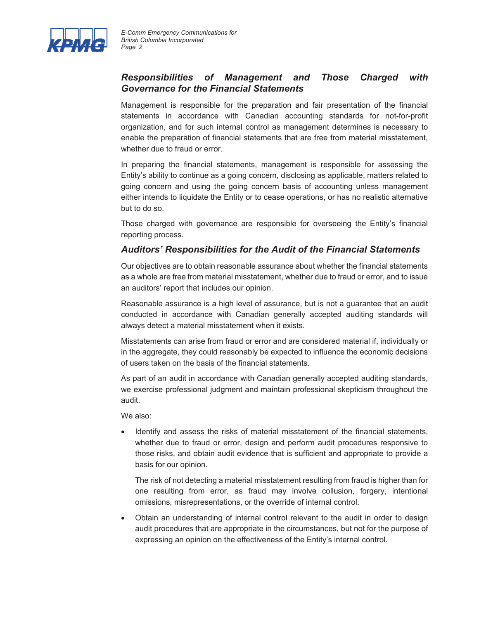

### *Responsibilities of Management and Those Charged with Governance for the Financial Statements*

Management is responsible for the preparation and fair presentation of the financial statements in accordance with Canadian accounting standards for not-for-profit organization, and for such internal control as management determines is necessary to enable the preparation of financial statements that are free from material misstatement, whether due to fraud or error.

In preparing the financial statements, management is responsible for assessing the Entity's ability to continue as a going concern, disclosing as applicable, matters related to going concern and using the going concern basis of accounting unless management either intends to liquidate the Entity or to cease operations, or has no realistic alternative but to do so.

Those charged with governance are responsible for overseeing the Entity's financial reporting process.

### *Auditors' Responsibilities for the Audit of the Financial Statements*

Our objectives are to obtain reasonable assurance about whether the financial statements as a whole are free from material misstatement, whether due to fraud or error, and to issue an auditors' report that includes our opinion.

Reasonable assurance is a high level of assurance, but is not a guarantee that an audit conducted in accordance with Canadian generally accepted auditing standards will always detect a material misstatement when it exists.

Misstatements can arise from fraud or error and are considered material if, individually or in the aggregate, they could reasonably be expected to influence the economic decisions of users taken on the basis of the financial statements.

As part of an audit in accordance with Canadian generally accepted auditing standards, we exercise professional judgment and maintain professional skepticism throughout the audit.

We also:

Identify and assess the risks of material misstatement of the financial statements, whether due to fraud or error, design and perform audit procedures responsive to those risks, and obtain audit evidence that is sufficient and appropriate to provide a basis for our opinion.

The risk of not detecting a material misstatement resulting from fraud is higher than for one resulting from error, as fraud may involve collusion, forgery, intentional omissions, misrepresentations, or the override of internal control.

Obtain an understanding of internal control relevant to the audit in order to design audit procedures that are appropriate in the circumstances, but not for the purpose of expressing an opinion on the effectiveness of the Entity's internal control.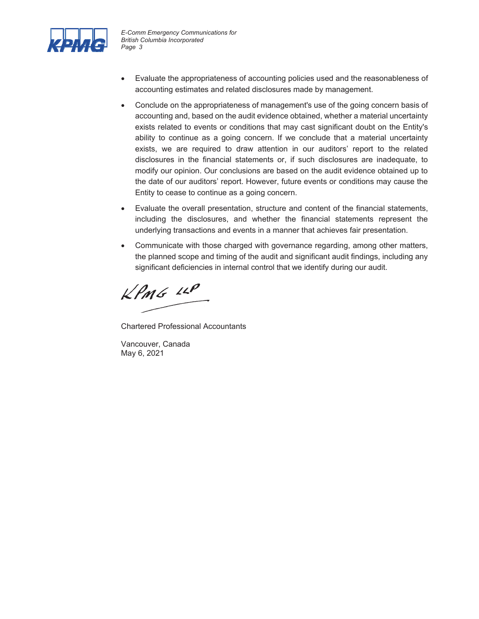

- Evaluate the appropriateness of accounting policies used and the reasonableness of accounting estimates and related disclosures made by management.
- Conclude on the appropriateness of management's use of the going concern basis of accounting and, based on the audit evidence obtained, whether a material uncertainty exists related to events or conditions that may cast significant doubt on the Entity's ability to continue as a going concern. If we conclude that a material uncertainty exists, we are required to draw attention in our auditors' report to the related disclosures in the financial statements or, if such disclosures are inadequate, to modify our opinion. Our conclusions are based on the audit evidence obtained up to the date of our auditors' report. However, future events or conditions may cause the Entity to cease to continue as a going concern.
- Evaluate the overall presentation, structure and content of the financial statements, including the disclosures, and whether the financial statements represent the underlying transactions and events in a manner that achieves fair presentation.
- Communicate with those charged with governance regarding, among other matters, the planned scope and timing of the audit and significant audit findings, including any significant deficiencies in internal control that we identify during our audit.

 $KPMG$  11P

Chartered Professional Accountants

Vancouver, Canada May 6, 2021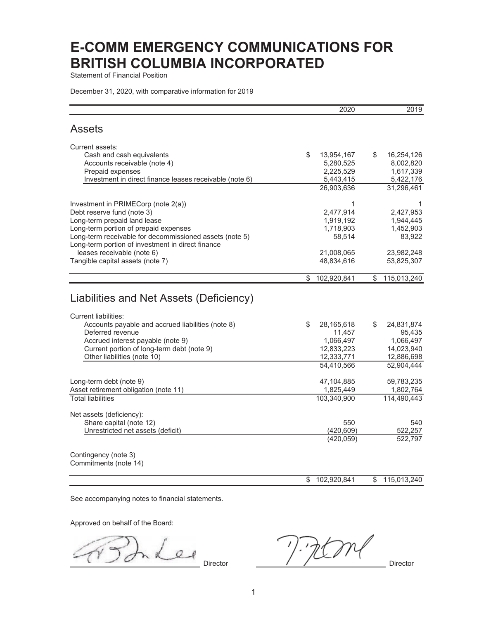Statement of Financial Position

December 31, 2020, with comparative information for 2019

|                                                         | 2020              | 2019              |
|---------------------------------------------------------|-------------------|-------------------|
| <b>Assets</b>                                           |                   |                   |
| Current assets:                                         |                   |                   |
| Cash and cash equivalents                               | \$<br>13,954,167  | \$<br>16,254,126  |
| Accounts receivable (note 4)                            | 5,280,525         | 8,002,820         |
| Prepaid expenses                                        | 2,225,529         | 1,617,339         |
| Investment in direct finance leases receivable (note 6) | 5,443,415         | 5,422,176         |
|                                                         | 26,903,636        | 31,296,461        |
| Investment in PRIMECorp (note 2(a))                     | 1                 | 1                 |
| Debt reserve fund (note 3)                              | 2,477,914         | 2,427,953         |
| Long-term prepaid land lease                            | 1,919,192         | 1,944,445         |
| Long-term portion of prepaid expenses                   | 1,718,903         | 1,452,903         |
| Long-term receivable for decommissioned assets (note 5) | 58,514            | 83,922            |
| Long-term portion of investment in direct finance       |                   |                   |
| leases receivable (note 6)                              | 21,008,065        | 23,982,248        |
| Tangible capital assets (note 7)                        | 48,834,616        | 53,825,307        |
|                                                         |                   |                   |
|                                                         | \$<br>102,920,841 | \$<br>115,013,240 |
| Liabilities and Net Assets (Deficiency)                 |                   |                   |
| <b>Current liabilities:</b>                             |                   |                   |
| Accounts payable and accrued liabilities (note 8)       | \$<br>28,165,618  | \$<br>24,831,874  |
| Deferred revenue                                        | 11,457            | 95,435            |
| Accrued interest payable (note 9)                       | 1,066,497         | 1,066,497         |
| Current portion of long-term debt (note 9)              | 12,833,223        | 14,023,940        |
| Other liabilities (note 10)                             | 12,333,771        | 12,886,698        |
|                                                         | 54,410,566        | 52,904,444        |
| Long-term debt (note 9)                                 | 47,104,885        | 59,783,235        |
| Asset retirement obligation (note 11)                   | 1,825,449         | 1,802,764         |
| <b>Total liabilities</b>                                | 103,340,900       | 114,490,443       |
| Net assets (deficiency):                                |                   |                   |
| Share capital (note 12)                                 | 550               | 540               |
| Unrestricted net assets (deficit)                       | (420, 609)        | 522,257           |
|                                                         | (420, 059)        | 522,797           |
| Contingency (note 3)                                    |                   |                   |
| Commitments (note 14)                                   |                   |                   |
|                                                         | \$<br>102,920,841 | \$<br>115,013,240 |

See accompanying notes to financial statements.

Approved on behalf of the Board:

 $1/20$ Director Director (1) Director (1) Director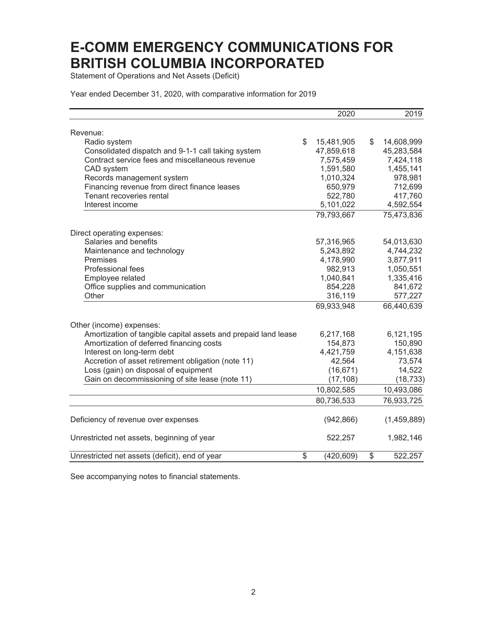Statement of Operations and Net Assets (Deficit)

Year ended December 31, 2020, with comparative information for 2019

|                                                                | 2020             | 2019             |
|----------------------------------------------------------------|------------------|------------------|
| Revenue:                                                       |                  |                  |
| Radio system                                                   | \$<br>15,481,905 | \$<br>14,608,999 |
| Consolidated dispatch and 9-1-1 call taking system             | 47,859,618       | 45,283,584       |
| Contract service fees and miscellaneous revenue                | 7,575,459        | 7,424,118        |
| CAD system                                                     | 1,591,580        | 1,455,141        |
| Records management system                                      | 1,010,324        | 978,981          |
| Financing revenue from direct finance leases                   | 650,979          | 712,699          |
| Tenant recoveries rental                                       | 522,780          | 417,760          |
| Interest income                                                | 5,101,022        | 4,592,554        |
|                                                                | 79,793,667       | 75,473,836       |
| Direct operating expenses:                                     |                  |                  |
| Salaries and benefits                                          | 57,316,965       | 54,013,630       |
| Maintenance and technology                                     | 5,243,892        | 4,744,232        |
| Premises                                                       | 4,178,990        | 3,877,911        |
| Professional fees                                              | 982,913          | 1,050,551        |
| Employee related                                               | 1,040,841        | 1,335,416        |
| Office supplies and communication                              | 854,228          | 841,672          |
| Other                                                          | 316,119          | 577,227          |
|                                                                | 69,933,948       | 66,440,639       |
| Other (income) expenses:                                       |                  |                  |
| Amortization of tangible capital assets and prepaid land lease | 6,217,168        | 6,121,195        |
| Amortization of deferred financing costs                       | 154,873          | 150,890          |
| Interest on long-term debt                                     | 4,421,759        | 4,151,638        |
| Accretion of asset retirement obligation (note 11)             | 42,564           | 73,574           |
| Loss (gain) on disposal of equipment                           | (16, 671)        | 14,522           |
| Gain on decommissioning of site lease (note 11)                | (17, 108)        | (18, 733)        |
|                                                                | 10,802,585       | 10,493,086       |
|                                                                | 80,736,533       | 76,933,725       |
| Deficiency of revenue over expenses                            | (942, 866)       | (1,459,889)      |
| Unrestricted net assets, beginning of year                     | 522,257          | 1,982,146        |
| Unrestricted net assets (deficit), end of year                 | \$<br>(420, 609) | \$<br>522,257    |

See accompanying notes to financial statements.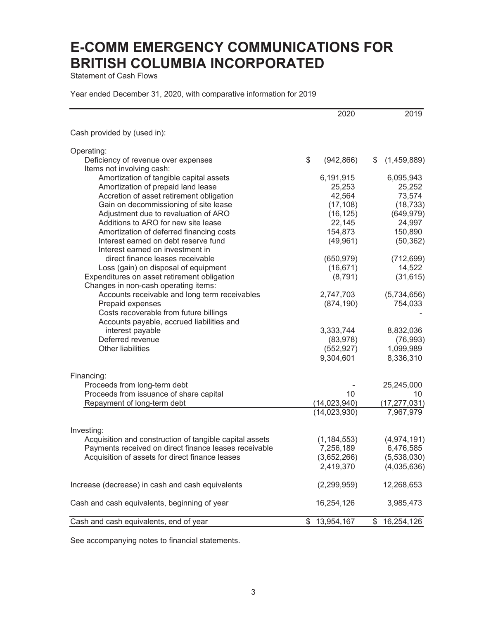Statement of Cash Flows

Year ended December 31, 2020, with comparative information for 2019

|                                                         | 2020             | 2019              |
|---------------------------------------------------------|------------------|-------------------|
| Cash provided by (used in):                             |                  |                   |
| Operating:                                              |                  |                   |
| Deficiency of revenue over expenses                     | \$<br>(942, 866) | \$<br>(1,459,889) |
| Items not involving cash:                               |                  |                   |
| Amortization of tangible capital assets                 | 6,191,915        | 6,095,943         |
| Amortization of prepaid land lease                      | 25,253           | 25,252            |
| Accretion of asset retirement obligation                | 42,564           | 73,574            |
| Gain on decommissioning of site lease                   | (17, 108)        | (18, 733)         |
| Adjustment due to revaluation of ARO                    | (16, 125)        | (649, 979)        |
| Additions to ARO for new site lease                     | 22,145           | 24,997            |
| Amortization of deferred financing costs                | 154,873          | 150,890           |
| Interest earned on debt reserve fund                    | (49, 961)        | (50, 362)         |
| Interest earned on investment in                        |                  |                   |
| direct finance leases receivable                        | (650, 979)       | (712, 699)        |
| Loss (gain) on disposal of equipment                    | (16, 671)        | 14,522            |
| Expenditures on asset retirement obligation             | (8, 791)         | (31, 615)         |
| Changes in non-cash operating items:                    |                  |                   |
| Accounts receivable and long term receivables           | 2,747,703        | (5,734,656)       |
| Prepaid expenses                                        | (874, 190)       | 754,033           |
| Costs recoverable from future billings                  |                  |                   |
| Accounts payable, accrued liabilities and               |                  |                   |
| interest payable                                        | 3,333,744        | 8,832,036         |
| Deferred revenue                                        | (83, 978)        | (76, 993)         |
| Other liabilities                                       | (552, 927)       | 1,099,989         |
|                                                         | 9,304,601        | 8,336,310         |
| Financing:                                              |                  |                   |
| Proceeds from long-term debt                            |                  | 25,245,000        |
| Proceeds from issuance of share capital                 | 10               | 10                |
| Repayment of long-term debt                             | (14, 023, 940)   | (17, 277, 031)    |
|                                                         | (14,023,930)     | 7,967,979         |
|                                                         |                  |                   |
| Investing:                                              |                  |                   |
| Acquisition and construction of tangible capital assets | (1, 184, 553)    | (4,974,191)       |
| Payments received on direct finance leases receivable   | 7,256,189        | 6,476,585         |
| Acquisition of assets for direct finance leases         | (3,652,266)      | (5,538,030)       |
|                                                         | 2,419,370        | (4,035,636)       |
| Increase (decrease) in cash and cash equivalents        | (2, 299, 959)    | 12,268,653        |
| Cash and cash equivalents, beginning of year            | 16,254,126       | 3,985,473         |
| Cash and cash equivalents, end of year                  | \$<br>13,954,167 | \$<br>16,254,126  |

See accompanying notes to financial statements.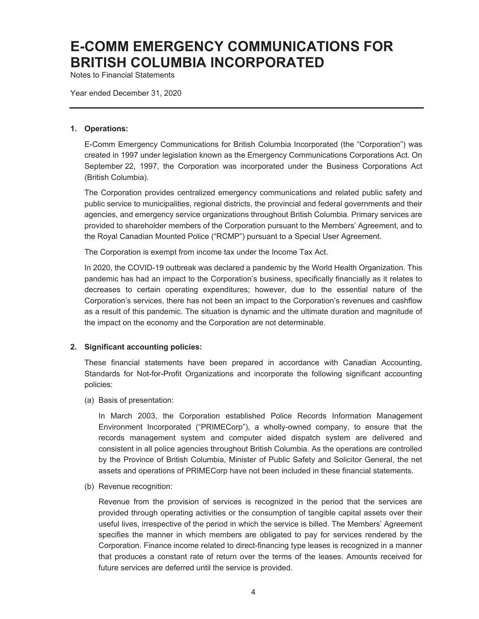Notes to Financial Statements

Year ended December 31, 2020

#### **1. Operations:**

E-Comm Emergency Communications for British Columbia Incorporated (the "Corporation") was created in 1997 under legislation known as the Emergency Communications Corporations Act. On September 22, 1997, the Corporation was incorporated under the Business Corporations Act (British Columbia).

The Corporation provides centralized emergency communications and related public safety and public service to municipalities, regional districts, the provincial and federal governments and their agencies, and emergency service organizations throughout British Columbia. Primary services are provided to shareholder members of the Corporation pursuant to the Members' Agreement, and to the Royal Canadian Mounted Police ("RCMP") pursuant to a Special User Agreement.

The Corporation is exempt from income tax under the Income Tax Act.

In 2020, the COVID-19 outbreak was declared a pandemic by the World Health Organization. This pandemic has had an impact to the Corporation's business, specifically financially as it relates to decreases to certain operating expenditures; however, due to the essential nature of the Corporation's services, there has not been an impact to the Corporation's revenues and cashflow as a result of this pandemic. The situation is dynamic and the ultimate duration and magnitude of the impact on the economy and the Corporation are not determinable.

#### **2. Significant accounting policies:**

These financial statements have been prepared in accordance with Canadian Accounting, Standards for Not-for-Profit Organizations and incorporate the following significant accounting policies:

(a) Basis of presentation:

In March 2003, the Corporation established Police Records Information Management Environment Incorporated ("PRIMECorp"), a wholly-owned company, to ensure that the records management system and computer aided dispatch system are delivered and consistent in all police agencies throughout British Columbia. As the operations are controlled by the Province of British Columbia, Minister of Public Safety and Solicitor General, the net assets and operations of PRIMECorp have not been included in these financial statements.

(b) Revenue recognition:

Revenue from the provision of services is recognized in the period that the services are provided through operating activities or the consumption of tangible capital assets over their useful lives, irrespective of the period in which the service is billed. The Members' Agreement specifies the manner in which members are obligated to pay for services rendered by the Corporation. Finance income related to direct-financing type leases is recognized in a manner that produces a constant rate of return over the terms of the leases. Amounts received for future services are deferred until the service is provided.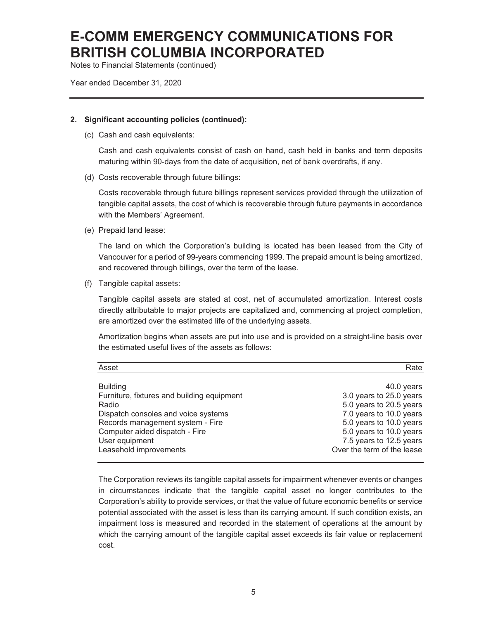Notes to Financial Statements (continued)

Year ended December 31, 2020

#### **2. Significant accounting policies (continued):**

(c) Cash and cash equivalents:

Cash and cash equivalents consist of cash on hand, cash held in banks and term deposits maturing within 90-days from the date of acquisition, net of bank overdrafts, if any.

(d) Costs recoverable through future billings:

Costs recoverable through future billings represent services provided through the utilization of tangible capital assets, the cost of which is recoverable through future payments in accordance with the Members' Agreement.

(e) Prepaid land lease:

The land on which the Corporation's building is located has been leased from the City of Vancouver for a period of 99-years commencing 1999. The prepaid amount is being amortized, and recovered through billings, over the term of the lease.

(f) Tangible capital assets:

Tangible capital assets are stated at cost, net of accumulated amortization. Interest costs directly attributable to major projects are capitalized and, commencing at project completion, are amortized over the estimated life of the underlying assets.

Amortization begins when assets are put into use and is provided on a straight-line basis over the estimated useful lives of the assets as follows:

| Asset                                      | Rate                       |
|--------------------------------------------|----------------------------|
|                                            |                            |
| <b>Building</b>                            | 40.0 years                 |
| Furniture, fixtures and building equipment | 3.0 years to 25.0 years    |
| Radio                                      | 5.0 years to 20.5 years    |
| Dispatch consoles and voice systems        | 7.0 years to 10.0 years    |
| Records management system - Fire           | 5.0 years to 10.0 years    |
| Computer aided dispatch - Fire             | 5.0 years to 10.0 years    |
| User equipment                             | 7.5 years to 12.5 years    |
| Leasehold improvements                     | Over the term of the lease |
|                                            |                            |

The Corporation reviews its tangible capital assets for impairment whenever events or changes in circumstances indicate that the tangible capital asset no longer contributes to the Corporation's ability to provide services, or that the value of future economic benefits or service potential associated with the asset is less than its carrying amount. If such condition exists, an impairment loss is measured and recorded in the statement of operations at the amount by which the carrying amount of the tangible capital asset exceeds its fair value or replacement cost.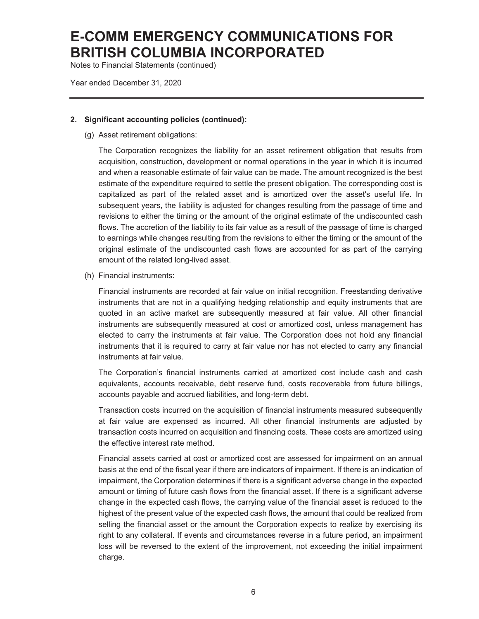Notes to Financial Statements (continued)

Year ended December 31, 2020

#### **2. Significant accounting policies (continued):**

(g) Asset retirement obligations:

The Corporation recognizes the liability for an asset retirement obligation that results from acquisition, construction, development or normal operations in the year in which it is incurred and when a reasonable estimate of fair value can be made. The amount recognized is the best estimate of the expenditure required to settle the present obligation. The corresponding cost is capitalized as part of the related asset and is amortized over the asset's useful life. In subsequent years, the liability is adjusted for changes resulting from the passage of time and revisions to either the timing or the amount of the original estimate of the undiscounted cash flows. The accretion of the liability to its fair value as a result of the passage of time is charged to earnings while changes resulting from the revisions to either the timing or the amount of the original estimate of the undiscounted cash flows are accounted for as part of the carrying amount of the related long-lived asset.

(h) Financial instruments:

Financial instruments are recorded at fair value on initial recognition. Freestanding derivative instruments that are not in a qualifying hedging relationship and equity instruments that are quoted in an active market are subsequently measured at fair value. All other financial instruments are subsequently measured at cost or amortized cost, unless management has elected to carry the instruments at fair value. The Corporation does not hold any financial instruments that it is required to carry at fair value nor has not elected to carry any financial instruments at fair value.

The Corporation's financial instruments carried at amortized cost include cash and cash equivalents, accounts receivable, debt reserve fund, costs recoverable from future billings, accounts payable and accrued liabilities, and long-term debt.

Transaction costs incurred on the acquisition of financial instruments measured subsequently at fair value are expensed as incurred. All other financial instruments are adjusted by transaction costs incurred on acquisition and financing costs. These costs are amortized using the effective interest rate method.

Financial assets carried at cost or amortized cost are assessed for impairment on an annual basis at the end of the fiscal year if there are indicators of impairment. If there is an indication of impairment, the Corporation determines if there is a significant adverse change in the expected amount or timing of future cash flows from the financial asset. If there is a significant adverse change in the expected cash flows, the carrying value of the financial asset is reduced to the highest of the present value of the expected cash flows, the amount that could be realized from selling the financial asset or the amount the Corporation expects to realize by exercising its right to any collateral. If events and circumstances reverse in a future period, an impairment loss will be reversed to the extent of the improvement, not exceeding the initial impairment charge.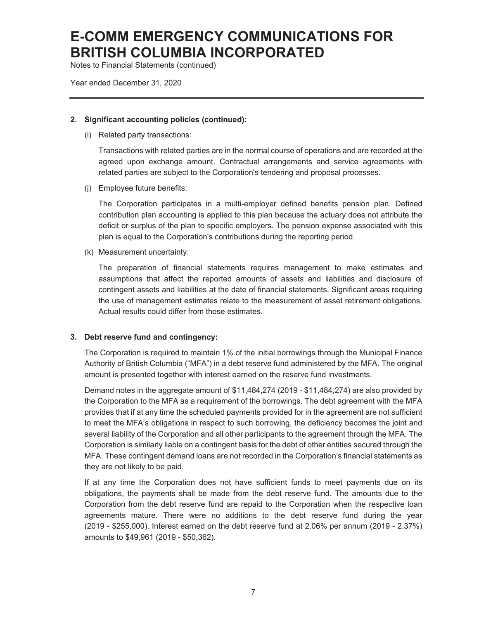Notes to Financial Statements (continued)

Year ended December 31, 2020

#### **2. Significant accounting policies (continued):**

(i) Related party transactions:

Transactions with related parties are in the normal course of operations and are recorded at the agreed upon exchange amount. Contractual arrangements and service agreements with related parties are subject to the Corporation's tendering and proposal processes.

(j) Employee future benefits:

The Corporation participates in a multi-employer defined benefits pension plan. Defined contribution plan accounting is applied to this plan because the actuary does not attribute the deficit or surplus of the plan to specific employers. The pension expense associated with this plan is equal to the Corporation's contributions during the reporting period.

(k) Measurement uncertainty:

The preparation of financial statements requires management to make estimates and assumptions that affect the reported amounts of assets and liabilities and disclosure of contingent assets and liabilities at the date of financial statements. Significant areas requiring the use of management estimates relate to the measurement of asset retirement obligations. Actual results could differ from those estimates.

#### **3. Debt reserve fund and contingency:**

The Corporation is required to maintain 1% of the initial borrowings through the Municipal Finance Authority of British Columbia ("MFA") in a debt reserve fund administered by the MFA. The original amount is presented together with interest earned on the reserve fund investments.

Demand notes in the aggregate amount of \$11,484,274 (2019 - \$11,484,274) are also provided by the Corporation to the MFA as a requirement of the borrowings. The debt agreement with the MFA provides that if at any time the scheduled payments provided for in the agreement are not sufficient to meet the MFA's obligations in respect to such borrowing, the deficiency becomes the joint and several liability of the Corporation and all other participants to the agreement through the MFA. The Corporation is similarly liable on a contingent basis for the debt of other entities secured through the MFA. These contingent demand loans are not recorded in the Corporation's financial statements as they are not likely to be paid.

If at any time the Corporation does not have sufficient funds to meet payments due on its obligations, the payments shall be made from the debt reserve fund. The amounts due to the Corporation from the debt reserve fund are repaid to the Corporation when the respective loan agreements mature. There were no additions to the debt reserve fund during the year (2019 - \$255,000). Interest earned on the debt reserve fund at 2.06% per annum (2019 - 2.37%) amounts to \$49,961 (2019 - \$50,362).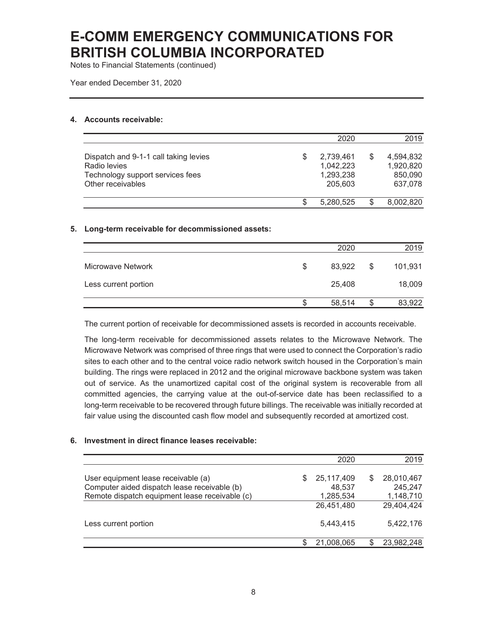Notes to Financial Statements (continued)

Year ended December 31, 2020

#### **4. Accounts receivable:**

|                                                                                                                |    | 2020                                           | 2019                                         |
|----------------------------------------------------------------------------------------------------------------|----|------------------------------------------------|----------------------------------------------|
| Dispatch and 9-1-1 call taking levies<br>Radio levies<br>Technology support services fees<br>Other receivables | \$ | 2,739,461<br>1,042,223<br>1,293,238<br>205,603 | 4,594,832<br>1,920,820<br>850,090<br>637,078 |
|                                                                                                                | S  | 5,280,525                                      | 8,002,820                                    |

#### **5. Long-term receivable for decommissioned assets:**

|                      |    | 2020   |   | 2019    |
|----------------------|----|--------|---|---------|
| Microwave Network    | \$ | 83,922 | S | 101,931 |
| Less current portion |    | 25,408 |   | 18,009  |
|                      | S  | 58,514 |   | 83,922  |

The current portion of receivable for decommissioned assets is recorded in accounts receivable.

The long-term receivable for decommissioned assets relates to the Microwave Network. The Microwave Network was comprised of three rings that were used to connect the Corporation's radio sites to each other and to the central voice radio network switch housed in the Corporation's main building. The rings were replaced in 2012 and the original microwave backbone system was taken out of service. As the unamortized capital cost of the original system is recoverable from all committed agencies, the carrying value at the out-of-service date has been reclassified to a long-term receivable to be recovered through future billings. The receivable was initially recorded at fair value using the discounted cash flow model and subsequently recorded at amortized cost.

#### **6. Investment in direct finance leases receivable:**

|                                                |   | 2020       |   | 2019       |
|------------------------------------------------|---|------------|---|------------|
|                                                |   |            |   |            |
| User equipment lease receivable (a)            | S | 25,117,409 | S | 28,010,467 |
| Computer aided dispatch lease receivable (b)   |   | 48,537     |   | 245,247    |
| Remote dispatch equipment lease receivable (c) |   | 1,285,534  |   | 1,148,710  |
|                                                |   | 26,451,480 |   | 29,404,424 |
| Less current portion                           |   | 5,443,415  |   | 5,422,176  |
|                                                |   | 21,008,065 |   | 23,982,248 |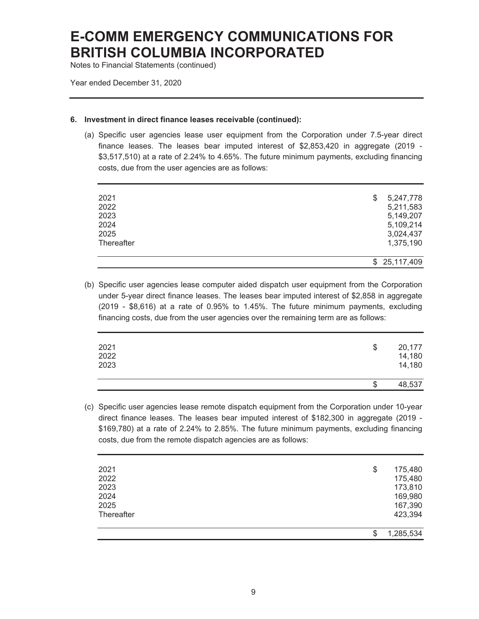Notes to Financial Statements (continued)

Year ended December 31, 2020

#### **6. Investment in direct finance leases receivable (continued):**

(a) Specific user agencies lease user equipment from the Corporation under 7.5-year direct finance leases. The leases bear imputed interest of \$2,853,420 in aggregate (2019 - \$3,517,510) at a rate of 2.24% to 4.65%. The future minimum payments, excluding financing costs, due from the user agencies are as follows:

| 2021       | \$<br>5,247,778 |
|------------|-----------------|
| 2022       | 5,211,583       |
| 2023       | 5,149,207       |
| 2024       | 5,109,214       |
| 2025       | 3,024,437       |
| Thereafter | 1,375,190       |
|            |                 |
|            | \$25,117,409    |

(b) Specific user agencies lease computer aided dispatch user equipment from the Corporation under 5-year direct finance leases. The leases bear imputed interest of \$2,858 in aggregate (2019 - \$8,616) at a rate of 0.95% to 1.45%. The future minimum payments, excluding financing costs, due from the user agencies over the remaining term are as follows:

| 2021<br>2022<br>2023 | \$<br>20,177<br>14,180<br>14,180 |
|----------------------|----------------------------------|
|                      | \$<br>48,537                     |

(c) Specific user agencies lease remote dispatch equipment from the Corporation under 10-year direct finance leases. The leases bear imputed interest of \$182,300 in aggregate (2019 - \$169,780) at a rate of 2.24% to 2.85%. The future minimum payments, excluding financing costs, due from the remote dispatch agencies are as follows:

| 2021       | \$ | 175,480   |
|------------|----|-----------|
| 2022       |    | 175,480   |
| 2023       |    | 173,810   |
| 2024       |    | 169,980   |
| 2025       |    | 167,390   |
| Thereafter |    | 423,394   |
|            |    |           |
|            | S  | 1,285,534 |
|            |    |           |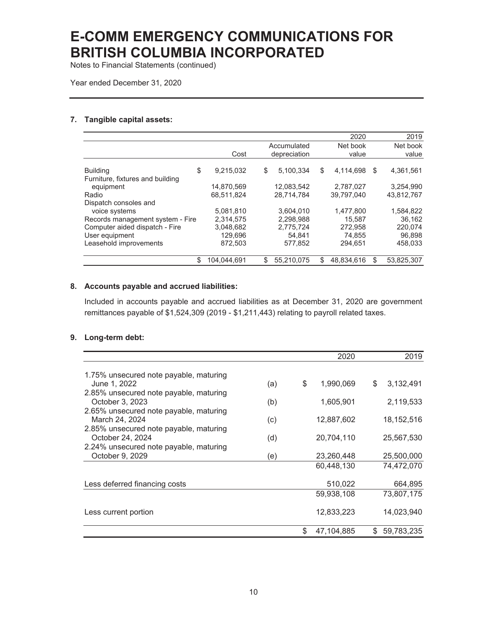Notes to Financial Statements (continued)

Year ended December 31, 2020

#### **7. Tangible capital assets:**

|                                  |             |              |             | 2020             |     | 2019       |
|----------------------------------|-------------|--------------|-------------|------------------|-----|------------|
|                                  |             |              | Accumulated | Net book         |     | Net book   |
|                                  | Cost        | depreciation |             | value            |     | value      |
|                                  |             |              |             |                  |     |            |
| \$<br><b>Building</b>            | 9,215,032   | \$           | 5.100.334   | \$<br>4.114.698  | \$  | 4,361,561  |
| Furniture, fixtures and building |             |              |             |                  |     |            |
| equipment                        | 14,870,569  |              | 12,083,542  | 2,787,027        |     | 3,254,990  |
| Radio                            | 68,511,824  |              | 28,714,784  | 39,797,040       |     | 43,812,767 |
| Dispatch consoles and            |             |              |             |                  |     |            |
| voice systems                    | 5.081.810   |              | 3,604,010   | 1,477,800        |     | 1,584,822  |
| Records management system - Fire | 2.314.575   |              | 2,298,988   | 15.587           |     | 36.162     |
| Computer aided dispatch - Fire   | 3,048,682   |              | 2,775,724   | 272.958          |     | 220,074    |
| User equipment                   | 129,696     |              | 54,841      | 74,855           |     | 96,898     |
| Leasehold improvements           | 872.503     |              | 577,852     | 294.651          |     | 458,033    |
|                                  |             |              |             |                  |     |            |
| \$.                              | 104.044.691 | \$.          | 55.210.075  | \$<br>48.834.616 | \$. | 53,825,307 |

#### **8. Accounts payable and accrued liabilities:**

Included in accounts payable and accrued liabilities as at December 31, 2020 are government remittances payable of \$1,524,309 (2019 - \$1,211,443) relating to payroll related taxes.

#### **9. Long-term debt:**

|                                                           |     | 2020             | 2019            |
|-----------------------------------------------------------|-----|------------------|-----------------|
| 1.75% unsecured note payable, maturing                    |     |                  |                 |
| June 1, 2022                                              | (a) | \$<br>1,990,069  | \$<br>3,132,491 |
| 2.85% unsecured note payable, maturing                    |     |                  |                 |
| October 3, 2023<br>2.65% unsecured note payable, maturing | (b) | 1,605,901        | 2,119,533       |
| March 24, 2024                                            | (c) | 12,887,602       | 18,152,516      |
| 2.85% unsecured note payable, maturing                    |     |                  |                 |
| October 24, 2024                                          | (d) | 20,704,110       | 25,567,530      |
| 2.24% unsecured note payable, maturing                    |     |                  |                 |
| October 9, 2029                                           | (e) | 23,260,448       | 25,500,000      |
|                                                           |     | 60,448,130       | 74,472,070      |
| Less deferred financing costs                             |     | 510,022          | 664,895         |
|                                                           |     | 59,938,108       | 73,807,175      |
| Less current portion                                      |     | 12,833,223       | 14,023,940      |
|                                                           |     | \$<br>47,104,885 | \$59,783,235    |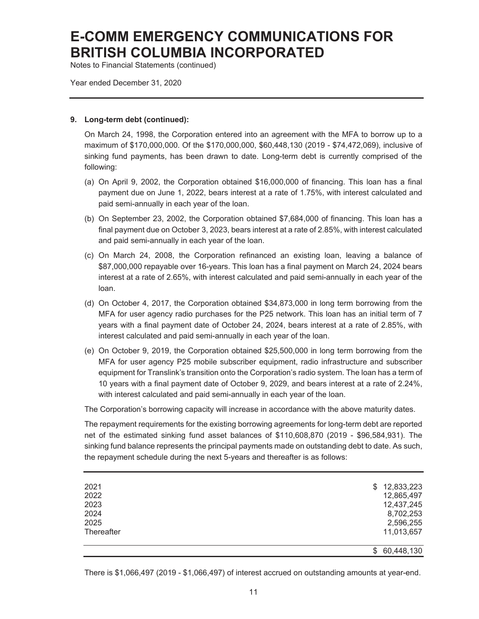Notes to Financial Statements (continued)

Year ended December 31, 2020

#### **9. Long-term debt (continued):**

On March 24, 1998, the Corporation entered into an agreement with the MFA to borrow up to a maximum of \$170,000,000. Of the \$170,000,000, \$60,448,130 (2019 - \$74,472,069), inclusive of sinking fund payments, has been drawn to date. Long-term debt is currently comprised of the following:

- (a) On April 9, 2002, the Corporation obtained \$16,000,000 of financing. This loan has a final payment due on June 1, 2022, bears interest at a rate of 1.75%, with interest calculated and paid semi-annually in each year of the loan.
- (b) On September 23, 2002, the Corporation obtained \$7,684,000 of financing. This loan has a final payment due on October 3, 2023, bears interest at a rate of 2.85%, with interest calculated and paid semi-annually in each year of the loan.
- (c) On March 24, 2008, the Corporation refinanced an existing loan, leaving a balance of \$87,000,000 repayable over 16-years. This loan has a final payment on March 24, 2024 bears interest at a rate of 2.65%, with interest calculated and paid semi-annually in each year of the loan.
- (d) On October 4, 2017, the Corporation obtained \$34,873,000 in long term borrowing from the MFA for user agency radio purchases for the P25 network. This loan has an initial term of 7 years with a final payment date of October 24, 2024, bears interest at a rate of 2.85%, with interest calculated and paid semi-annually in each year of the loan.
- (e) On October 9, 2019, the Corporation obtained \$25,500,000 in long term borrowing from the MFA for user agency P25 mobile subscriber equipment, radio infrastructure and subscriber equipment for Translink's transition onto the Corporation's radio system. The loan has a term of 10 years with a final payment date of October 9, 2029, and bears interest at a rate of 2.24%, with interest calculated and paid semi-annually in each year of the loan.

The Corporation's borrowing capacity will increase in accordance with the above maturity dates.

The repayment requirements for the existing borrowing agreements for long-term debt are reported net of the estimated sinking fund asset balances of \$110,608,870 (2019 - \$96,584,931). The sinking fund balance represents the principal payments made on outstanding debt to date. As such, the repayment schedule during the next 5-years and thereafter is as follows:

| 2021       |    | \$12,833,223 |
|------------|----|--------------|
| 2022       |    | 12,865,497   |
| 2023       |    | 12,437,245   |
| 2024       |    | 8,702,253    |
| 2025       |    | 2,596,255    |
| Thereafter |    | 11,013,657   |
|            |    |              |
|            | S. | 60,448,130   |

There is \$1,066,497 (2019 - \$1,066,497) of interest accrued on outstanding amounts at year-end.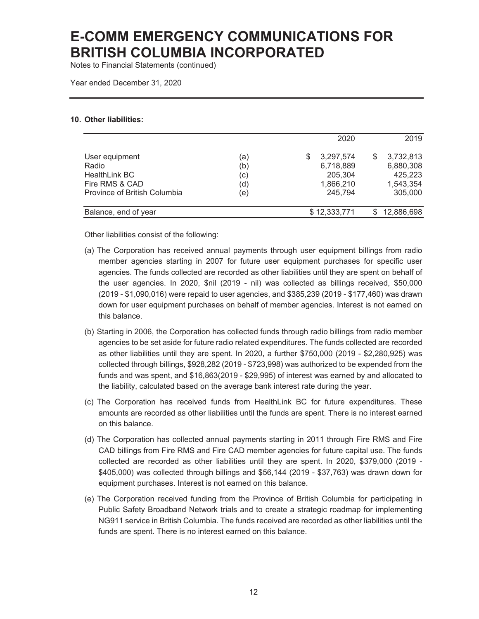Notes to Financial Statements (continued)

Year ended December 31, 2020

#### **10. Other liabilities:**

|                              |                       |   | 2020         |   | 2019       |
|------------------------------|-----------------------|---|--------------|---|------------|
|                              |                       |   |              |   |            |
| User equipment               | Ιa                    | S | 3,297,574    | S | 3,732,813  |
| Radio                        | (b)                   |   | 6,718,889    |   | 6,880,308  |
| <b>HealthLink BC</b>         | $\left( $ C $\right)$ |   | 205,304      |   | 425,223    |
| Fire RMS & CAD               | (d                    |   | 1,866,210    |   | 1,543,354  |
| Province of British Columbia | $\epsilon$            |   | 245,794      |   | 305,000    |
|                              |                       |   |              |   |            |
| Balance, end of year         |                       |   | \$12,333,771 |   | 12,886,698 |

Other liabilities consist of the following:

- (a) The Corporation has received annual payments through user equipment billings from radio member agencies starting in 2007 for future user equipment purchases for specific user agencies. The funds collected are recorded as other liabilities until they are spent on behalf of the user agencies. In 2020, \$nil (2019 - nil) was collected as billings received, \$50,000 (2019 - \$1,090,016) were repaid to user agencies, and \$385,239 (2019 - \$177,460) was drawn down for user equipment purchases on behalf of member agencies. Interest is not earned on this balance.
- (b) Starting in 2006, the Corporation has collected funds through radio billings from radio member agencies to be set aside for future radio related expenditures. The funds collected are recorded as other liabilities until they are spent. In 2020, a further \$750,000 (2019 - \$2,280,925) was collected through billings, \$928,282 (2019 - \$723,998) was authorized to be expended from the funds and was spent, and \$16,863(2019 - \$29,995) of interest was earned by and allocated to the liability, calculated based on the average bank interest rate during the year.
- (c) The Corporation has received funds from HealthLink BC for future expenditures. These amounts are recorded as other liabilities until the funds are spent. There is no interest earned on this balance.
- (d) The Corporation has collected annual payments starting in 2011 through Fire RMS and Fire CAD billings from Fire RMS and Fire CAD member agencies for future capital use. The funds collected are recorded as other liabilities until they are spent. In 2020, \$379,000 (2019 - \$405,000) was collected through billings and \$56,144 (2019 - \$37,763) was drawn down for equipment purchases. Interest is not earned on this balance.
- (e) The Corporation received funding from the Province of British Columbia for participating in Public Safety Broadband Network trials and to create a strategic roadmap for implementing NG911 service in British Columbia. The funds received are recorded as other liabilities until the funds are spent. There is no interest earned on this balance.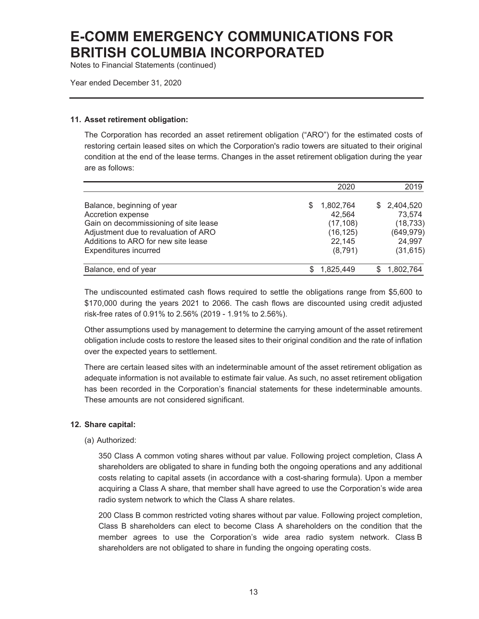Notes to Financial Statements (continued)

Year ended December 31, 2020

#### **11. Asset retirement obligation:**

The Corporation has recorded an asset retirement obligation ("ARO") for the estimated costs of restoring certain leased sites on which the Corporation's radio towers are situated to their original condition at the end of the lease terms. Changes in the asset retirement obligation during the year are as follows:

|                                                                             | 2020                |    | 2019                 |
|-----------------------------------------------------------------------------|---------------------|----|----------------------|
| Balance, beginning of year                                                  | 1,802,764           | S. | 2,404,520            |
| Accretion expense<br>Gain on decommissioning of site lease                  | 42,564<br>(17, 108) |    | 73,574<br>(18, 733)  |
| Adjustment due to revaluation of ARO<br>Additions to ARO for new site lease | (16, 125)<br>22,145 |    | (649, 979)<br>24,997 |
| Expenditures incurred                                                       | (8,791)             |    | (31, 615)            |
| Balance, end of year                                                        | 1,825,449           |    | 1,802,764            |

The undiscounted estimated cash flows required to settle the obligations range from \$5,600 to \$170,000 during the years 2021 to 2066. The cash flows are discounted using credit adjusted risk-free rates of 0.91% to 2.56% (2019 - 1.91% to 2.56%).

Other assumptions used by management to determine the carrying amount of the asset retirement obligation include costs to restore the leased sites to their original condition and the rate of inflation over the expected years to settlement.

There are certain leased sites with an indeterminable amount of the asset retirement obligation as adequate information is not available to estimate fair value. As such, no asset retirement obligation has been recorded in the Corporation's financial statements for these indeterminable amounts. These amounts are not considered significant.

#### **12. Share capital:**

(a) Authorized:

350 Class A common voting shares without par value. Following project completion, Class A shareholders are obligated to share in funding both the ongoing operations and any additional costs relating to capital assets (in accordance with a cost-sharing formula). Upon a member acquiring a Class A share, that member shall have agreed to use the Corporation's wide area radio system network to which the Class A share relates.

200 Class B common restricted voting shares without par value. Following project completion, Class B shareholders can elect to become Class A shareholders on the condition that the member agrees to use the Corporation's wide area radio system network. Class B shareholders are not obligated to share in funding the ongoing operating costs.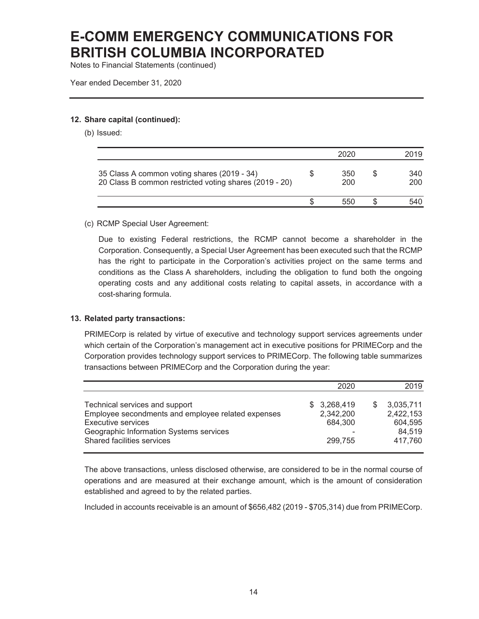Notes to Financial Statements (continued)

Year ended December 31, 2020

#### **12. Share capital (continued):**

(b) Issued:

|                                                                                                       | 2020       | 2019       |
|-------------------------------------------------------------------------------------------------------|------------|------------|
| 35 Class A common voting shares (2019 - 34)<br>20 Class B common restricted voting shares (2019 - 20) | 350<br>200 | 340<br>200 |
|                                                                                                       | 550        | -540       |

#### (c) RCMP Special User Agreement:

Due to existing Federal restrictions, the RCMP cannot become a shareholder in the Corporation. Consequently, a Special User Agreement has been executed such that the RCMP has the right to participate in the Corporation's activities project on the same terms and conditions as the Class A shareholders, including the obligation to fund both the ongoing operating costs and any additional costs relating to capital assets, in accordance with a cost-sharing formula.

#### **13. Related party transactions:**

PRIMECorp is related by virtue of executive and technology support services agreements under which certain of the Corporation's management act in executive positions for PRIMECorp and the Corporation provides technology support services to PRIMECorp. The following table summarizes transactions between PRIMECorp and the Corporation during the year:

|                                                                                                                                                                                            | 2020                                           |   | 2019                                                   |
|--------------------------------------------------------------------------------------------------------------------------------------------------------------------------------------------|------------------------------------------------|---|--------------------------------------------------------|
| Technical services and support<br>Employee secondments and employee related expenses<br><b>Executive services</b><br>Geographic Information Systems services<br>Shared facilities services | \$3,268,419<br>2,342,200<br>684,300<br>299.755 | S | 3,035,711<br>2,422,153<br>604,595<br>84,519<br>417,760 |

The above transactions, unless disclosed otherwise, are considered to be in the normal course of operations and are measured at their exchange amount, which is the amount of consideration established and agreed to by the related parties.

Included in accounts receivable is an amount of \$656,482 (2019 - \$705,314) due from PRIMECorp.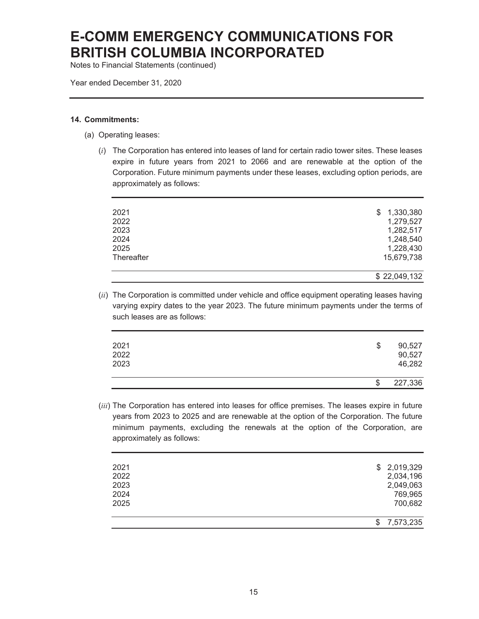Notes to Financial Statements (continued)

Year ended December 31, 2020

#### **14. Commitments:**

- (a) Operating leases:
	- (*i*) The Corporation has entered into leases of land for certain radio tower sites. These leases expire in future years from 2021 to 2066 and are renewable at the option of the Corporation. Future minimum payments under these leases, excluding option periods, are approximately as follows:

| 2021       | 1,330,380<br>S. |
|------------|-----------------|
| 2022       | 1,279,527       |
| 2023       | 1,282,517       |
| 2024       | 1,248,540       |
| 2025       | 1,228,430       |
| Thereafter | 15,679,738      |
|            | \$22,049,132    |

(*ii*) The Corporation is committed under vehicle and office equipment operating leases having varying expiry dates to the year 2023. The future minimum payments under the terms of such leases are as follows:

| 2021<br>2022<br>2023 | S  | 90,527<br>90,527<br>46,282 |
|----------------------|----|----------------------------|
|                      | \$ | 227,336                    |

(*iii*) The Corporation has entered into leases for office premises. The leases expire in future years from 2023 to 2025 and are renewable at the option of the Corporation. The future minimum payments, excluding the renewals at the option of the Corporation, are approximately as follows:

| 2021<br>2022<br>2023<br>2024<br>2025 |   | \$2,019,329<br>2,034,196<br>2,049,063<br>769,965<br>700,682 |
|--------------------------------------|---|-------------------------------------------------------------|
|                                      | S | 7,573,235                                                   |
|                                      |   |                                                             |